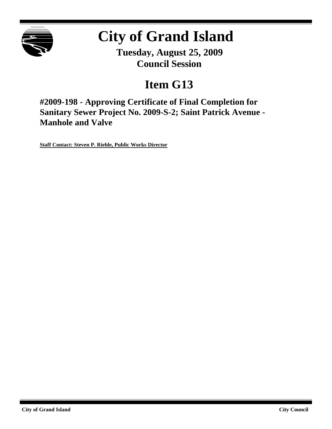

# **City of Grand Island**

**Tuesday, August 25, 2009 Council Session**

## **Item G13**

**#2009-198 - Approving Certificate of Final Completion for Sanitary Sewer Project No. 2009-S-2; Saint Patrick Avenue - Manhole and Valve**

**Staff Contact: Steven P. Riehle, Public Works Director**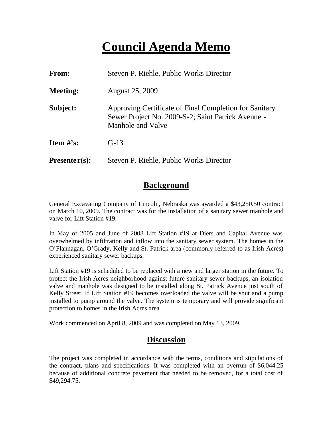## **Council Agenda Memo**

| <b>From:</b>    | Steven P. Riehle, Public Works Director                                                                                           |  |  |
|-----------------|-----------------------------------------------------------------------------------------------------------------------------------|--|--|
| <b>Meeting:</b> | <b>August 25, 2009</b>                                                                                                            |  |  |
| Subject:        | Approving Certificate of Final Completion for Sanitary<br>Sewer Project No. 2009-S-2; Saint Patrick Avenue -<br>Manhole and Valve |  |  |
| Item $\#$ 's:   | $G-13$                                                                                                                            |  |  |
| $Presenter(s):$ | Steven P. Riehle, Public Works Director                                                                                           |  |  |

## **Background**

General Excavating Company of Lincoln, Nebraska was awarded a \$43,250.50 contract on March 10, 2009. The contract was for the installation of a sanitary sewer manhole and valve for Lift Station #19.

In May of 2005 and June of 2008 Lift Station #19 at Diers and Capital Avenue was overwhelmed by infiltration and inflow into the sanitary sewer system. The homes in the O'Flannagan, O'Grady, Kelly and St. Patrick area (commonly referred to as Irish Acres) experienced sanitary sewer backups.

Lift Station #19 is scheduled to be replaced with a new and larger station in the future. To protect the Irish Acres neighborhood against future sanitary sewer backups, an isolation valve and manhole was designed to be installed along St. Patrick Avenue just south of Kelly Street. If Lift Station #19 becomes overloaded the valve will be shut and a pump installed to pump around the valve. The system is temporary and will provide significant protection to homes in the Irish Acres area.

Work commenced on April 8, 2009 and was completed on May 13, 2009.

## **Discussion**

The project was completed in accordance with the terms, conditions and stipulations of the contract, plans and specifications. It was completed with an overrun of \$6,044.25 because of additional concrete pavement that needed to be removed, for a total cost of \$49,294.75.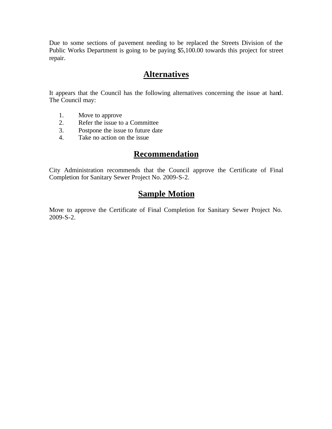Due to some sections of pavement needing to be replaced the Streets Division of the Public Works Department is going to be paying \$5,100.00 towards this project for street repair.

### **Alternatives**

It appears that the Council has the following alternatives concerning the issue at hand. The Council may:

- 1. Move to approve
- 2. Refer the issue to a Committee
- 3. Postpone the issue to future date
- 4. Take no action on the issue

## **Recommendation**

City Administration recommends that the Council approve the Certificate of Final Completion for Sanitary Sewer Project No. 2009-S-2.

## **Sample Motion**

Move to approve the Certificate of Final Completion for Sanitary Sewer Project No. 2009-S-2.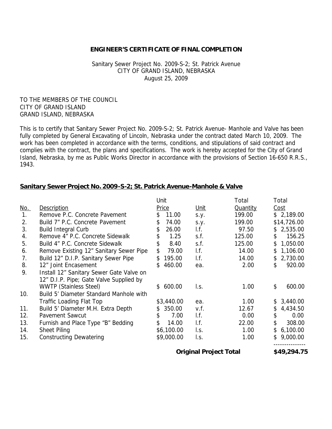#### **ENGINEER'S CERTIFICATE OF FINAL COMPLETION**

#### Sanitary Sewer Project No. 2009-S-2; St. Patrick Avenue CITY OF GRAND ISLAND, NEBRASKA August 25, 2009

TO THE MEMBERS OF THE COUNCIL CITY OF GRAND ISLAND GRAND ISLAND, NEBRASKA

This is to certify that Sanitary Sewer Project No. 2009-S-2; St. Patrick Avenue- Manhole and Valve has been fully completed by General Excavating of Lincoln, Nebraska under the contract dated March 10, 2009. The work has been completed in accordance with the terms, conditions, and stipulations of said contract and complies with the contract, the plans and specifications. The work is hereby accepted for the City of Grand Island, Nebraska, by me as Public Works Director in accordance with the provisions of Section 16-650 R.R.S., 1943.

#### **Sanitary Sewer Project No. 2009-S-2; St. Patrick Avenue-Manhole & Valve**

|            |                                          | Unit          |                               | Total           | Total          |
|------------|------------------------------------------|---------------|-------------------------------|-----------------|----------------|
| <u>No.</u> | Description                              | <b>Price</b>  | <u>Unit</u>                   | <b>Quantity</b> | Cost           |
| 1.         | Remove P.C. Concrete Pavement            | 11.00<br>\$.  | S.Y.                          | 199.00          | \$2,189.00     |
| 2.         | Build 7" P.C. Concrete Pavement          | 74.00<br>\$   | S.y.                          | 199.00          | \$14,726.00    |
| 3.         | <b>Build Integral Curb</b>               | 26.00<br>\$.  | I.f.                          | 97.50           | \$2,535.00     |
| 4.         | Remove 4" P.C. Concrete Sidewalk         | 1.25<br>\$    | s.f.                          | 125.00          | 156.25<br>\$   |
| 5.         | Build 4" P.C. Concrete Sidewalk          | \$<br>8.40    | s.f.                          | 125.00          | 1,050.00<br>\$ |
| 6.         | Remove Existing 12" Sanitary Sewer Pipe  | \$<br>79.00   | I.f.                          | 14.00           | 1,106.00<br>\$ |
| 7.         | Build 12" D.I.P. Sanitary Sewer Pipe     | 195.00<br>\$. | $\mathsf{I}.\mathsf{f}$ .     | 14.00           | 2,730.00<br>\$ |
| 8.         | 12" Joint Encasement                     | 460.00<br>\$  | ea.                           | 2.00            | 920.00<br>\$   |
| 9.         | Install 12" Sanitary Sewer Gate Valve on |               |                               |                 |                |
|            | 12" D.I.P. Pipe; Gate Valve Supplied by  |               |                               |                 |                |
|            | <b>WWTP (Stainless Steel)</b>            | 600.00<br>\$  | l.s.                          | 1.00            | \$<br>600.00   |
| 10.        | Build 5' Diameter Standard Manhole with  |               |                               |                 |                |
|            | Traffic Loading Flat Top                 | \$3,440.00    | ea.                           | 1.00            | 3,440.00<br>\$ |
| 11.        | Build 5' Diameter M.H. Extra Depth       | 350.00<br>\$. | v.f.                          | 12.67           | 4,434.50<br>\$ |
| 12.        | Pavement Sawcut                          | \$.<br>7.00   | $\mathsf{I}.\mathsf{f}.$      | 0.00            | \$<br>0.00     |
| 13.        | Furnish and Place Type "B" Bedding       | \$<br>14.00   | $\mathsf{I}.\mathsf{f}.$      | 22.00           | \$<br>308.00   |
| 14.        | Sheet Piling                             | \$6,100.00    | l.s.                          | 1.00            | 6,100.00<br>\$ |
| 15.        | <b>Constructing Dewatering</b>           | \$9,000.00    | l.s.                          | 1.00            | 9,000.00<br>\$ |
|            |                                          |               | <b>Original Project Total</b> |                 | \$49,294.75    |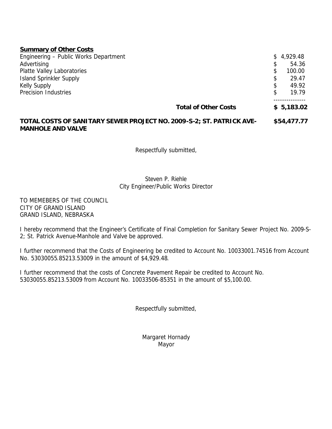#### **Summary of Other Costs**

| Engineering - Public Works Department | \$4,929.48   |  |
|---------------------------------------|--------------|--|
| Advertising                           | \$<br>54.36  |  |
| Platte Valley Laboratories            | \$<br>100.00 |  |
| Island Sprinkler Supply               | \$<br>29.47  |  |
| <b>Kelly Supply</b>                   | \$<br>49.92  |  |
| Precision Industries                  | \$<br>19.79  |  |
|                                       |              |  |
| <b>Total of Other Costs</b>           | \$5,183.02   |  |

#### **TOTAL COSTS OF SANITARY SEWER PROJECT NO. 2009-S-2; ST. PATRICK AVE- \$54,477.77 MANHOLE AND VALVE**

Respectfully submitted,

#### Steven P. Riehle City Engineer/Public Works Director

TO MEMEBERS OF THE COUNCIL CITY OF GRAND ISLAND GRAND ISLAND, NEBRASKA

I hereby recommend that the Engineer's Certificate of Final Completion for Sanitary Sewer Project No. 2009-S-2; St. Patrick Avenue-Manhole and Valve be approved.

I further recommend that the Costs of Engineering be credited to Account No. 10033001.74516 from Account No. 53030055.85213.53009 in the amount of \$4,929.48.

I further recommend that the costs of Concrete Pavement Repair be credited to Account No. 53030055.85213.53009 from Account No. 10033506-85351 in the amount of \$5,100.00.

Respectfully submitted,

Margaret Hornady Mayor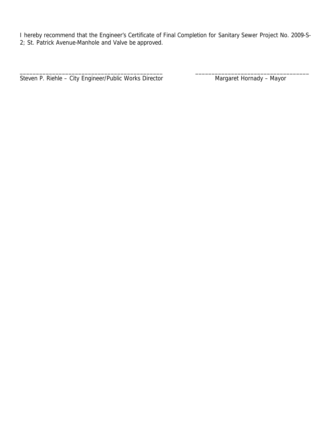I hereby recommend that the Engineer's Certificate of Final Completion for Sanitary Sewer Project No. 2009-S-2; St. Patrick Avenue-Manhole and Valve be approved.

\_\_\_\_\_\_\_\_\_\_\_\_\_\_\_\_\_\_\_\_\_\_\_\_\_\_\_\_\_\_\_\_\_\_\_\_\_\_\_\_\_\_\_\_ \_\_\_\_\_\_\_\_\_\_\_\_\_\_\_\_\_\_\_\_\_\_\_\_\_\_\_\_\_\_\_\_\_\_\_

Steven P. Riehle - City Engineer/Public Works Director Mangaret Hornady - Mayor